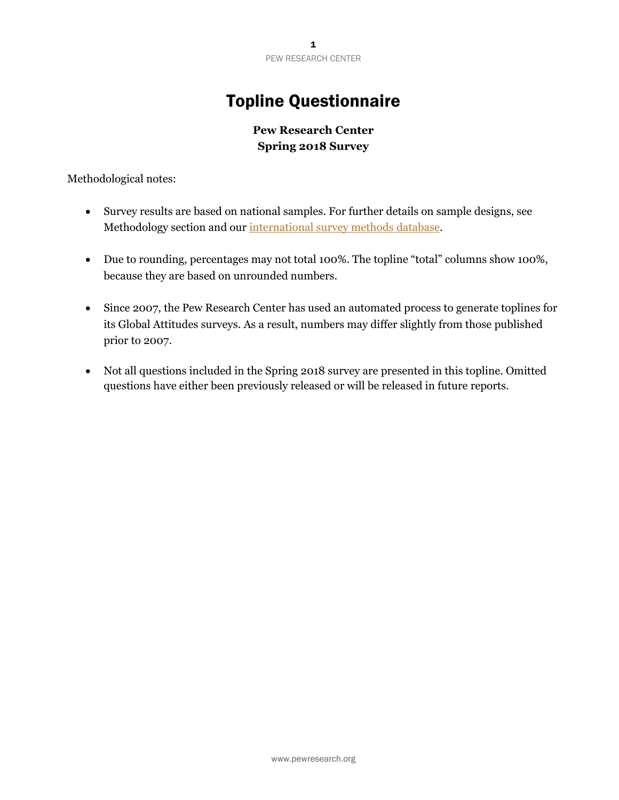## Topline Questionnaire

## **Pew Research Center Spring 2018 Survey**

Methodological notes:

- Survey results are based on national samples. For further details on sample designs, see Methodology section and our international survey methods database.
- Due to rounding, percentages may not total 100%. The topline "total" columns show 100%, because they are based on unrounded numbers.
- Since 2007, the Pew Research Center has used an automated process to generate toplines for its Global Attitudes surveys. As a result, numbers may differ slightly from those published prior to 2007.
- Not all questions included in the Spring 2018 survey are presented in this topline. Omitted questions have either been previously released or will be released in future reports.